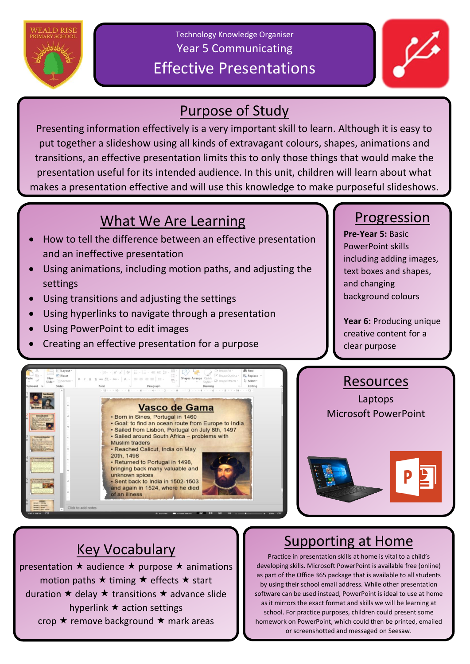

Technology Knowledge Organiser Year 5 Communicating Effective Presentations



## Purpose of Study

Presenting information effectively is a very important skill to learn. Although it is easy to put together a slideshow using all kinds of extravagant colours, shapes, animations and transitions, an effective presentation limits this to only those things that would make the presentation useful for its intended audience. In this unit, children will learn about what makes a presentation effective and will use this knowledge to make purposeful slideshows.

## What We Are Learning

- How to tell the difference between an effective presentation and an ineffective presentation
- Using animations, including motion paths, and adjusting the settings
- Using transitions and adjusting the settings
- Using hyperlinks to navigate through a presentation
- Using PowerPoint to edit images
- Creating an effective presentation for a purpose

## Progression

**Pre-Year 5:** Basic PowerPoint skills including adding images, text boxes and shapes, and changing background colours

**Year 6:** Producing unique creative content for a clear purpose

#### $x = -1$ **Vasco de Gama** · Born in Sines, Portugal in 1460 . Goal: to find an ocean route from Europe to India · Sailed from Lisbon, Portugal on July 8th, 1497 · Sailed around South Africa - problems with **Muslim traders** · Reached Calicut, India on May 20th, 1498 • Returned to Portugal in 1498, bringing back many valuable and unknown spices · Sent back to India in 1502-1503 and again in 1524, where he died of an illness

### Resources

Laptops Microsoft PowerPoint



# Key Vocabulary

presentation  $\star$  audience  $\star$  purpose  $\star$  animations motion paths  $\star$  timing  $\star$  effects  $\star$  start duration  $\star$  delay  $\star$  transitions  $\star$  advance slide hyperlink  $\star$  action settings crop  $\star$  remove background  $\star$  mark areas

# Supporting at Home

Practice in presentation skills at home is vital to a child's developing skills. Microsoft PowerPoint is available free (online) as part of the Office 365 package that is available to all students by using their school email address. While other presentation software can be used instead, PowerPoint is ideal to use at home as it mirrors the exact format and skills we will be learning at school. For practice purposes, children could present some homework on PowerPoint, which could then be printed, emailed or screenshotted and messaged on Seesaw.